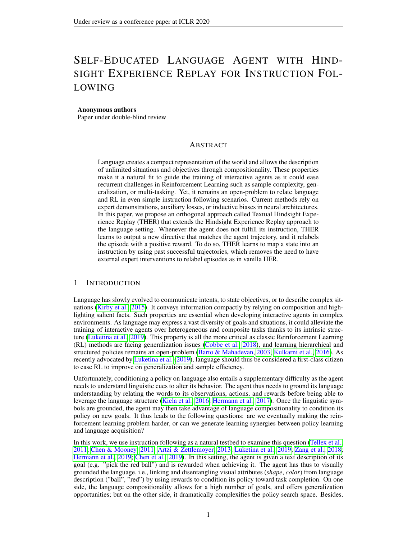# SELF-EDUCATED LANGUAGE AGENT WITH HIND-SIGHT EXPERIENCE REPLAY FOR INSTRUCTION FOL-LOWING

#### Anonymous authors

Paper under double-blind review

#### ABSTRACT

Language creates a compact representation of the world and allows the description of unlimited situations and objectives through compositionality. These properties make it a natural fit to guide the training of interactive agents as it could ease recurrent challenges in Reinforcement Learning such as sample complexity, generalization, or multi-tasking. Yet, it remains an open-problem to relate language and RL in even simple instruction following scenarios. Current methods rely on expert demonstrations, auxiliary losses, or inductive biases in neural architectures. In this paper, we propose an orthogonal approach called Textual Hindsight Experience Replay (THER) that extends the Hindsight Experience Replay approach to the language setting. Whenever the agent does not fulfill its instruction, THER learns to output a new directive that matches the agent trajectory, and it relabels the episode with a positive reward. To do so, THER learns to map a state into an instruction by using past successful trajectories, which removes the need to have external expert interventions to relabel episodes as in vanilla HER.

#### 1 INTRODUCTION

Language has slowly evolved to communicate intents, to state objectives, or to describe complex situations (Kirby et al., 2015). It conveys information compactly by relying on composition and highlighting salient facts. Such properties are essential when developing interactive agents in complex environments. As language may express a vast diversity of goals and situations, it could alleviate the training of interactive agents over heterogeneous and composite tasks thanks to its intrinsic structure (Luketina et al., 2019). This property is all the more critical as classic Reinforcement Learning (RL) methods are facing generalization issues (Cobbe et al., 2018), and learning hierarchical and structured policies remains an open-problem (Barto & Mahadevan, 2003; Kulkarni et al., 2016). As recently advocated by Luketina et al. (2019), language should thus be considered a first-class citizen to ease RL to improve on generalization and sample efficiency.

Unfortunately, conditioning a policy on language also entails a supplementary difficulty as the agent needs to understand linguistic cues to alter its behavior. The agent thus needs to ground its language understanding by relating the words to its observations, actions, and rewards before being able to leverage the language structure (Kiela et al., 2016; Hermann et al., 2017). Once the linguistic symbols are grounded, the agent may then take advantage of language compositionality to condition its policy on new goals. It thus leads to the following questions: are we eventually making the reinforcement learning problem harder, or can we generate learning synergies between policy learning and language acquisition?

In this work, we use instruction following as a natural testbed to examine this question (Tellex et al., 2011; Chen & Mooney, 2011; Artzi & Zettlemoyer, 2013; Luketina et al., 2019; Zang et al., 2018; Hermann et al., 2019; Chen et al., 2019). In this setting, the agent is given a text description of its goal (e.g. "pick the red ball") and is rewarded when achieving it. The agent has thus to visually grounded the language, i.e., linking and disentangling visual attributes (*shape*, *color*) from language description ("ball", "red") by using rewards to condition its policy toward task completion. On one side, the language compositionality allows for a high number of goals, and offers generalization opportunities; but on the other side, it dramatically complexifies the policy search space. Besides,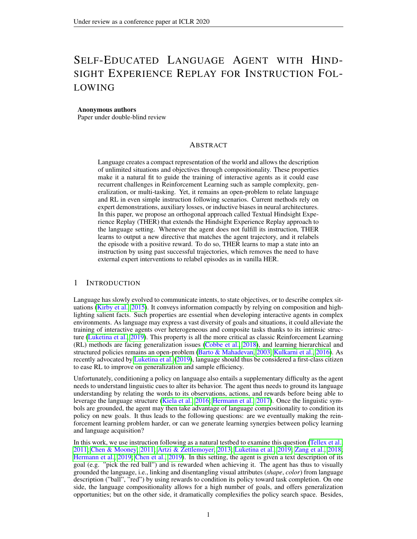Figure 1: Upon positive trajectory, the agent trajectory is used to both update the RL replay buffer and the goal mapper training dataset. Upon failed trajectory, the goal mapper is used to relabel the episode, and both trajectories are appended to the replay buffer. In the original HER paper (Andrychowicz et al., 2017), the mapping function is bypassed since they are dealing with spatial goals, and therefore, vanilla HER cannot be applied without external feedback (Chan et al., 2018).

instruction following is a notoriously hard RL problem since it has a sparse reward signal. In practice, the navigation and language grounding problems are often circumvented by warm-starting the policy with labeled trajectories (Zang et al., 2018; Anderson et al., 2018). Although scalable, these approaches require numerous human demonstrations, whereas we here want to jointly learn the navigation policy and language understanding from scratch. In a seminal work, Hermann et al. (2017) successfully ground language instructions, but the authors used unsupervised losses and heavy curriculum to handle the sparse reward challenge.

In this paper, we take advantage of language compositionality to tackle the lack of reward signals. To do so, we extend Hindsight Experience Replay (HER) to language goals (Andrychowicz et al., 2017). HER originally deals with the sparse reward problems in spatial scenario; it relabels unsuccessful trajectories into successful ones by rede ning the policy **apa**lsteriori As a result, HER creates additional episodes with positive rewards and a more diverse set of goals. Unfortunately, this approach cannot be directly applied when dealing with linguistic goals. As HER requires a mapping between the agent trajectory and the goal to substitute, it requires expert supervision to describe failed episodes with words. Hence, this mapping should either be handcrafted with synthetic bots (Chan et al., 2018), or be learned from human demonstrations, which would both limit HER generality. More generally, language adds a level of semantics, which allows generating textual objective that could not be encoded simple spatial observations as in regular HER, e.g., "fetch a ball that is not blue" or "pick any red object".

In this work, we introduce Textual Hindsight Experience Replay (THER), a training procedure where the agent jointly learns the language-goal mapping and the navigation policy by solely interacting with the environment illustrated in Figure 1. THER leverages positive trajectories to learn a mapping function, and THER then tackles the sparse reward problem by relabeling language goals upon negative trajectories in a HER fashion. We evaluate our method on the BabyAI world (Chevalier-Boisvert et al., 2019), showing a clear improvement over RL baselines while highlighting the robustness of THER to noise.

## 2 BACKGROUND AND NOTATION

In reinforcement learning, an agent interacts with the environment to maximize its cumulative reward (Sutton & Barto, 2018). At each time stepthe agent is in a state  $2 S$ , where it selects an actiona<sub>t</sub> 2 A according its policy : S ! A . It then receives a reward from the environment's reward function :  $S$   $A$  ! R and moves to the next state<sub>+1</sub> with probability  $p(s_t, p_j|s_t; a_t)$ . The quality of the policy is assessed by the Q-function de-ned by Q  $(s; a) = E \begin{bmatrix} 1 \\ 1 \end{bmatrix}$ <sup>t</sup> r(s<sub>t</sub>; a<sub>t</sub>)js<sub>0</sub> = s; a<sub>0</sub> = a] for all (s; a) where 2 [0; 1] is the discount factor. We de ne the optimal Q-value a $\Omega$  (s; a) = max  $\Omega$  (s; a), from which the optimal policy is derived. We here use Deep Q-learning (DQN) to approximate the optimal Q-function with neu-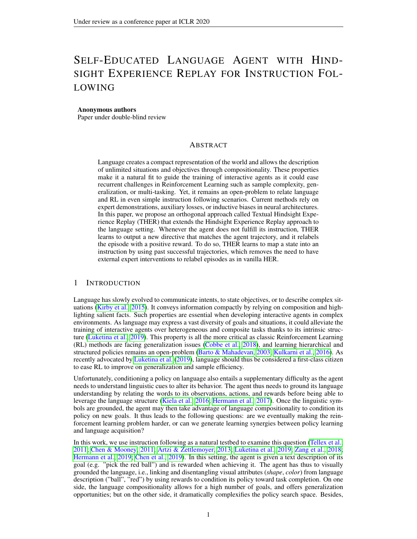ral networks and perform off-policy updates by sampling transit( $\exp(\text{max}_{t} ; r_t; s_{t+1})$  from a replay buffer (Mnih et al., 2015).

In this article, we augment our environment with a goal spaceich de nes a new reward function r : S - A -G ! R and policy : S G ! A by conditioning them on a goal descriptor g 2 G. Similarly, the Q-function is also conditioned on the goal, and it is referred to as Universal Value Function Approximator (UVFA) (Schaul et al., 2015). This approach allows learning holistic policies that generalize over goals in addition to states at the expense of complexifying the training process. In this paper, we explore how language can be used for structuring the goal space, and how language composition eases generalization over unseen scenarios in a UVFA setting.

Hindsight Experience Replay (HER) (Andrychowicz et al., 2017) is designed to increase the sample ef ciency of off-policy RL algorithms such as DQN in the goal-conditioning setting. It reduces the sparse reward problem by taking advantage of failed trajectories, relabelling them with new goals. An expert then assigns the goal that was achieved by the agent when performing its trajectory, before updating the agent memory replay buffer with an additional positive trajectory.

Formally, HER assumes the existence of a predi $\text{Cat}\ \mathfrak{S}$   $\cdot$  G  $\cdot$  f  $\cdot$  0; 1g which encodes whether the agent in a stats satis es the goaf (s; g) = 1 , and de nes the reward function(s<sub>t</sub>; a; g) = f ( $s_{t+1}$ ; g). At the beginning of an episode, a goals drawn from the space of goals. At each time stept, the transition(s<sub>t</sub>; a<sub>t</sub>; r<sub>t</sub>; s<sub>t+1</sub>; g) is stored in the DQN replay buffer, and at the end of an unsuccessful episode, an expert provides an additionalged that matches the trajectory. New transitions(s<sub>t</sub>;  $a_t$ ;  $r_t^0$ ,  $s_{t+1}$ ;  $g^0$ ) are thus added to the replay buffer for each time stephere  $r^0$  = r(s<sub>t</sub>; a<sub>t</sub>; s<sub>t+1</sub>; g<sup>o</sup>). DQN update rule remains identical to (Mnih et al., 2015), transitions are sampled from the replay buffer, and the network is updated using one step td-error minimization.

HER assumes that a mapping between states and goalsg is given. In the original paper (Andrychowicz et al., 2017), this requirement is not restrictive as the goal space is a subset of the state space. Thus, the mappings straightforward since any state along the trajectory can be used as a substitution goal. In the general case, the goal space differs from the state space, and the mapping function is generally unknown. In the instruction following setting, there is no obvious mapping from visual states to linguistic cues. It thus requires expert intervention to provide a new language goal given the trajectory, which drastically reduces the interest of HER. Therefore, we here explore how to learn this mapping without any form of expert knowledge nor supervision.

## 3 TEXTUAL HINDSIGHT EXPERIENCEREPLAY

Textual Hindsight Experience Replay (THER) aims to learn a mapping from past experiences that relates a trajectory to a goal in order to apply HER, even when no expert are available. The mapping function relabels unsuccessful trajectories by predicting a substitute gosal expert would do. The transitions are then appended to the replay buffer. This mapping learning is performed alongside agent policy training.

Besides, we wish to discard any form of expert supervision to learn this mapping as it would reduce the practicability of the approach. Therefore, the core idea is to use environment signals to retrieve training mapping pairs. Instinctively, in the sparse reward setting, trajectories with positive rewards encode ground-truth mapping pairs, while trajectories with negative rewards are mismatched pairs. These cues are thus collected to train the mapping function for THER in a supervised fashion. We emphasize that such signals are inherent to the environment, and an external expert does not provide them. In the following, we only keep positive pairs in order to train a discriminative mapping model.

Formally, THER is composed of a datasetof hs; gi pairs, a replay buffeR and a parametrized mapping mode $m_w$ . For each episode, a goglis picked, and the agent generates transitions  $(s_t; a_t; r_t; s_{t+1}; g)$  that are appended to the replay buffer The Q-function parameters are updated with an off-policy algorithm by sampling minibatches from Upon episode termination, if the goal is achieved, i.e.f  $(s_T; g) = 1$ , the  $s_T; g$  pair is appended to the dataset If the goal is not achieved, a substitute goal is sampled from the mapping mode(s<sub>T</sub>) =  $\mathfrak{g}^0$  and the additional transition ${\sf s}(s_t; a_t; r_t; s_{t+1}; g^0)$ g $_{t=0}^\top$  are added to the replay buffer. At regular intervals, the mapping

<sup>&</sup>lt;sup>1</sup>The mapping model can be utilized with an accuracy criterion over a validation set to avoid random goal sampling. see algorithm 1 for more details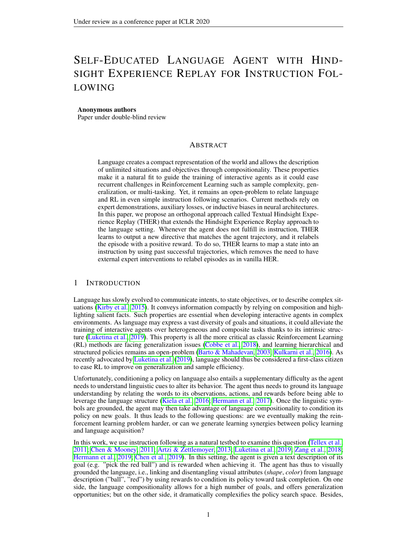Figure 2: Left: Models are fed with the pre-extracted observations from the trajectovies le: Agent model whose inputs are the last four observations and the Right: Instruction Generator.

modelm<sub>w</sub> is optimized to predict the goal given the trajectory by sampling mini-batches from. Algorithm 1 summarizes our approach. Noticeably, THER can be extended to partially observable environments by replacing the predicate function  $s$ ; g) by f (; g), i.e., the completion of a goal depends on the full trajectory rather than one state. Although we assess THER in the instruction following setting, the proposed procedure can be extended to any other goal modalities.

## 4 EXPERIMENTS

## 4.1 EXPERIMENTAL SETTING

Environment We experiment our approach on a grid world environment called MiniGrid (Chevalier-Boisvert et al., 2019). This environment offers a variety of instruction-following tasks using a synthetic language for grounded language learning. We use a 10x10 grid with 10 objects randomly located in the room. Each object has 4 attributes (shade, size, color, and type) inducing a total of 300 different objects. The agent has four actibios ward, left, right, pickg, and it can only see the 7x7 grid in front of it. For each episode, one object's attribute is randomly picked as a goal, and the text generator translates it in synthetic language as detailed in Appendix C, e.g., "Fetch a tiny light blue ball." The agent is rewarded when picking one object matching the goal description, which ends the episode; otherwise, the episode stops after 40 steps or after taking an incorrect object.

Models In this experiment, THER is composed of two separate models as shown in Figure 2. The instruction generator is a neural network outputting a sequence of words given the nal state of a trajectory. It is trained by gradient descent using a cross-entropy loss on the datastected as described in section 3. We train a DQN network following (Mnih et al., 2015) with a dueling head (Wang et al., 2016), double Q-learning (Hasselt et al., 2016), and a uniform replay buffer. The network receives a tuple  $s; g > as$  input and output an action corresponding to the argmax over states-actions values $(s; a; g)$ . We use -greedy exploration with decaying The detailed models and hyperparameters are provided in Appendix A, and the source code is available  $\Delta H$ N FOR BLIND REVIEW.

## 4.2 BUILDING INTUITION

This section examines the feasibility of THER by analysing two potential issues. We rst show that HER is robust to a noisy mapping function (or partially incorrect goals), we then estimate the accuracy and generalisation performance of the instruction generator.

Noisy instruction generator and HER We investigate how a noisy mapping affects performance compared to a perfect mapping. As the learned instruction generator is likely to be imperfect, it is crucial to assess how a noisy mapping may alter the training of the agent. To do so, we train an agent with HER and a synthetic bot to relabel unsuccessful trajectories. We then inject noise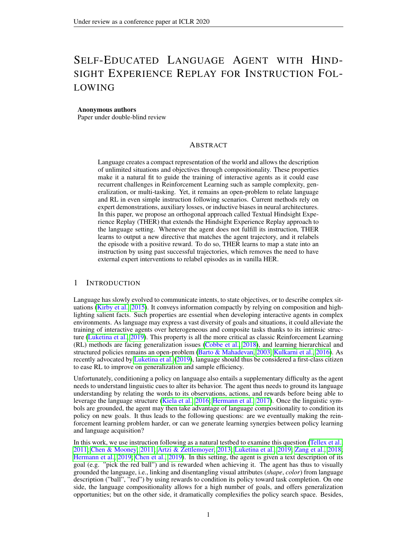Figure 3: Left: Agent performance with noisy mapping function and instruction generator accuracy over 5k pairs. Figures are averaged over 5 seeds and error bars shows one standard deviation.

in our mapping where each attribute has a xed probability be swapped, e.g. colortue may be changed togreen. For example, when  $= 0:2$ , the probability of having the whole instruction correct is0:8<sup>4</sup> 0:4. The resulting agent performance is depicted in Figure 3 (left).

The agent performs 80% as well as an agent with perfect expert feedback even when the mapping function has a 50% noise-ratio per attribute. Surprisingly, even highly noisy mappers, with a 80% noise-ratio, still provides an improvement over vanilla DQN-agents. Hence, HER can be applied even when relabelling trajectories with partially correct goals.

We also examine whether this robustness may be induced by the environment properties (e.g. attribute redundancy) rather than HER. We thus compute the number of discriminative features required to pick the correct object, as shown in Figure 8. On average, an object can be discriminated with 1.7 features in our setting - which eases the training, but any object shares at least one property with any other object 70% of the time - which tangles the training. Besides, the agent does not know which features are noisy or important. Thus, the agent still has to disentangle the instructions across trajectories in the replay buffer, and this process is still relatively robust to noise.

Learning an instruction generator We brie y analyze the sample complexity and generalization properties of the instruction generator. If training the mapping function is more straightforward than learning the agent policy, then we can thus use it to speed up the navigation training.

We  $\,$  rst split the set of mission $\bf S$  into two disjoint sets $\bf G_{train} \,$  and  $\bf G_{test}$  . Although all object features are present in both sets, they contain dissimilar combinations of target objects. For instance, blue, dark, key, and large are individually present in instructions  $\mathbf{G}_{\text{train}}$  and G<sub>test</sub> but the instruction to get  $tan$ ge dark blue keys only in  $G<sub>test</sub>$ . We therefore assess whether a basic compositionality is learned. In the following, we use train/split ratio of 80/20, i.e., 240 vs 60 goals.

Finally, we generate an arti cial datas Bt of hg; s<sub>T</sub> i pairs, and we report the training/testing accuracy of the instruction generator in Figure 3 (right). The accuracy evaluates whether the four correct attributes are present in the linguistic instructions through a simple parser. For instance, "a large blue light key" is a failure case since one attribute is missing. Note that language accuracy is discussed further in subsection 4.4. Other language metrics can be used when dealing with natural language like BLEU (Papineni et al., 2002), ROUGE (Lin, 2004), METEOR (Banerjee & Lavie, 2005).

We here observe than 1000 positive episodes are necessary to reach around 20% accuracy with our model, and 5000 pairs are enough to reach 70% accuracy. The instruction generator also correctly predicts unseen instructions even with fewer than 1000 samples and the accuracy gap between seen and unseen instructions slowly decrease during training, showing basic compositionality acquisition. As further discussed in section 5, we here use a vanilla mapping architecture to assess the generality of our THER, and more advanced architectures may drastically improve sample complexity (Bahdanau et al., 2019b).

#### 4.3 THERFOR INSTRUCTION FOLLOWING

In the previous section, we observe that: (1) HER is robust to noisy relabeled goals, (2) an instructor generator requires few positive samples to learn basic language compositionality. We thus here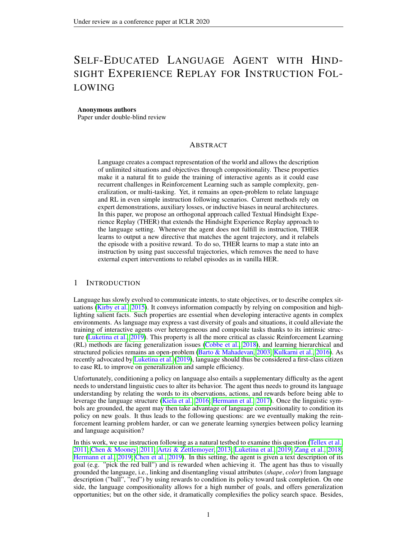Figure 4:Left: learning curves for DQN, DQN+HER, DQN+THER in a 10x10 gridworld with 10 objects with 4 attributes. The instruction generator is used after the vertical igat: the mapping accuracy for the prediction of instructions.  $\mathbf{w}$  starts being trained after collecting 1000 positive trajectories. Results are averaged over 5 seeds with one standard deviation.

combine those two properties to execute THER, i.e. jointly learning the agent policy and language prediction in a online fashion for instruction following.

Baselines We want to assess if the agent bene ts from learning an instruction generator and using it to substitute goals as done in HER. We denote this approach DQN+THER. We compare our approach to DQN without goal substitution (called DQN) and DQN with goal substitution from a perfect mapping provided by an external expert (called DQN+HER) available in the BabyAI environment. We emphasize again that it is impossible to have an external expert to apply HER in the general case. Therefore, DQN is a lower bound that we expect to outperform, whereas DQN+HER is the upper bound as the learned mapping can not outperform the expert. Note that we only start using the parametrized mapping function after collecting 1000 positive trajectories, which is around 18% validation accuracy. Finally, we compute an additional DQN baseline denoted DQN+reward: we reward the agent with 0.25 for each matching properties when picking a object given an instruction. It enforces a hand-crafted curriculum and dramatically reduces the reward sparsity, which gives a different perspective on the current task dif culty.

Results In Figure 4 (left), we show the success rate of the benchmarked algorithms per environment steps. We rst observe that DQN does not manage to learn a good policy, and its performance remains close to that of a random policy. On the other side, DQN+HER and DQN+reward quickly manage to pick the correct object 40% of the time. Finally, DQN+THER sees its success rates increasing as soon as we use the mapping function, to rapidly perform nearly as well as DQN+HER. Figure  $\frac{1}{4}$  (right) shows the performance accuracy of the mapping generator by environment steps. We observe a steady improvement of the accuracy during training before reaching 78% accuracy after 5M steps. In the end, DQN+THER outperforms DQN by using the exact same amount of information, and even matches the conceptual upper bond computed by DQN+HER. Besides, THER does not alter the optimal policy which can occur when reshaping the reward (Ng et al., 1999).

Discussion As observed in the previous noisy-HER experiment, the policy success rate starts increasing even when the mapping accuracy is 20%, and DQN+THER becomes nearly as good as DQN+HER despite having a maximum mapping accuracy of 78%. It demonstrates that DQN+THER manages to trigger the policy learning by better leveraging environment signals compared to DQN. As the instruction generator focuses solely on grounding language, it quickly provides additional training signal to the agent, initiating the navigation learning process.

We observe that the number of positive trajectories needed to learn a non-random mapping is lower than the number of positive trajectories needed to obtain a valid policy with DQN (even after 5M environment steps the policy has 10% success rate). Noticeably, we arti cially generate a dataset in section 4.2 to train the instruction generator, whereas we follow the agent policy to collect the dataset, which is a more realistic setting. For instance, as the instructor generator is trained on a moving dataset, it could over t to the rst positive samples, but in practice it escapes from local minima and obtains a nal high accuracy.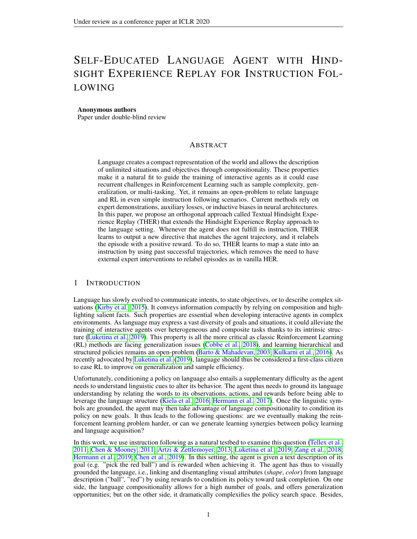Figure 5: Left: Transition distributions in the replay buffer between successful, unsuccessful and relabeled trajectories. We remove time-out trajectories for clarity, which accounts of the transition in average (3%over training).Right: Evaluating the language learned by the instruction generator on unseen instructions. Over time, the number of correct attributes (purple) is increasing, as the number of irrelevant words (orange) is decreasing. The number of repeated attributes (green) stays low. The beginning clause is ignored as it doesn't provide information regarding the objective.

Different factors may also explain the learning speed discrepancy: supervised learning has less variance than reinforcement learning as it has no long-term dependency. The agent instructor generator can also rely on simpler neural architectures than the agent. Although THER thus takes advantage of those training facilities to reward the agent ultimately.

Finally, we observe a virtuous circle that arises. As soon as the mapping is correct, the agent success rate increases, initiating the synergy. The agent then provides additional ground-truth mapping pairs, which increases the mapping accuracy, which improves the quality of substitute goals, which increases the agent success rate further more. As a result, there is a natural synergy that occurs between language grounding and navigation policy as each module iteratively provides better training samples to the other model. This virtuous circle is observed inside the replay buffer distribution, as shown in Figure 5. If we ignore time-out trajectories, around 90% of the trajectories are negative at the beginning of the training. As soon as we start using the instruction generator, 40% the transitions are relabelled by the instructor generator, and 10% of the transitions belong to positive trajectories. As training goes, this ratio is slowly inverted, and after 5M steps, there is only 15% relabelled trajectories left while 60% are actual positive trajectories.

Limitations Albeit generic, THER also faces some inherent limitations. From a linguistic perspective, THER cannot transcribe negative instructions (ot pick the red ball) or alternatives (Pick the red ball or the blue keyn its current form. However, this problem could be alleviated by batching several trajectories with the same goal. Therefore, the model would potentially learn to factorize trajectories into a single language objective. On the policy side, THER still requires a few trajectories to work, and it thus relies on the navigation policy. In other word, historical HER could be applied in the absence of reward signals, while THER only alleviate the sparse reward problem by better leveraging successful trajectories. A natural improvement would be to couple THER with other exploration methods, e.g, intrinsic motivation (Bellemare et al., 2016) or DQN with human demonstration (Hester et al., 2018). Finally, under-trained goal generators might hurt the training in some environments although we did not observed it in our setting as shown in Figure 9. However, a simple validation accuracy allows to circumvent this risk while activating the goal mapper (More details in algorithm 1). We emphasize again that the instruction generator can be triggered anytime to kick-start the learning as the it is independent of the agent.

#### 4.4 LANGUAGE LEARNED BY THE INSTRUCTIONGENERATOR

We here analyze further the language quality of the instruction generator. To do so, we rely on three metrics to assess the generated language quality. The rst metric, attitied telity, assesses whether every target attribute is present in the generated sentence. For example, for the abjective large dark blue keythe generated sentence "Fetch me a large key" only containing two attributes and receives a score of two. Yet, the model may still enumerate all available attributes in a single sentence; the score would always be four and precision counter this effect by counting how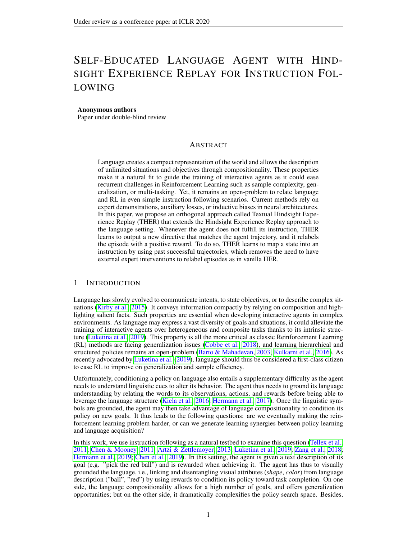| Instruction<br>#Samples | get a small verylight green key  | get a tiny dark yellow key      | go fetch a dark grey giant ball                |
|-------------------------|----------------------------------|---------------------------------|------------------------------------------------|
| 200                     | get a neutral veryight tiny ball | get a small blue dark ball ball | go get a grey giant neutral giant neutral grey |
| 1000                    | get a verylight green small ball | go fetch a tiny dark tiny ball  | you must fetch a grey dark giant ball          |
| 10000                   | get a verylight green small key  | go get a dark yellow tiny key   | go fetch a grey dark giant ball                |

| Table 1: Examples of language errors during the training |  |  |  |
|----------------------------------------------------------|--|--|--|
|                                                          |  |  |  |

many words are not relevant to describe the target object. This second metric is related to precision (or positive predictive value), as generated instructions only contain relevant attributes. Finally, we countrepeated attributesas language models are known to stutter during early training.

In Figure 5, we compute the three metrics over unseen goal states, examining the compositionality properties of the instruction generator. We observe that generated instructions get more accurate, contain less irrelevant attributes, thus providing the agent with valid goals, even in unseen scenarios. As the instruction generator is trained until convergence as net ate, instruction pairs are collected, it naturally preserve the overall language structure, and correctly ground symepolated attributesscore remains low and generated sentences start with the verb and end with the noun while randomly shuf ing the attributes as shown in Table 1.

## 5 RELATED WORK

Instruction following have recently drawn a lot of attention following the emergence of several 2D and 3D environments (Chevalier-Boisvert et al., 2019; Brodeur et al., 2017; Anderson et al., 2018). This section rst provides an overview of the different approaches, i.e, fully-supervised agent, reward shaping, auxiliary losses, before exploring approaches related to THER.

Vision and Language Navigation Instruction following is sometimes coined assign and Language Navigationasks in computer vision (Anderson et al., 2018; Wang et al., 2019). Most strategies are based on imitation learning, relying on expert demonstrations and knowledge from the environment. For example, Zang et al. (2018) relate instructions to an environment graph, requiring both demonstrations and high-level navigation information. Closer to our work, Fried et al. (2018) also learns a navigation model and an instruction generator, but the latter is used to generate additional training data for the agent. The setup is hence fully supervised, and requires human demonstrations. These policies are sometimes netuned to improve navigation abilities in unknown environments. Noticeably, Wang et al. (2019) optimizes their agent to nd the shortest path by leveraging language information. The agent learns an instruction generator, and they derive an intrinsic reward by aligning the generator predictions over the ground truth instructions. Those approaches complete long sequences of instructions in visually rich environments but they require a substantial amount of annotated data. In this paper, we intend to discard human supervision to explore learning synergies. Besides, we needed a synthetic environments with experts to evaluate THER. Yet, THER could be studied on natural and visually rich settings by warm-starting the instruction generator, and those two papers give a hint that THER could scale up to larger environment.

IRL for instruction following Bahdanau et al. (2019a) learn a mapping from struction, state to a reward function. The method's aim is to substitute the environment's reward function when instructions can be satis ed by a great diversity of states, making hand-designing reward function tedious. Similarly, Fu et al. (2019) directly learn a reward function and assess its transferability to new environments. Those methods are complementary to ours as they seek to transfer reward function to new environment and we are interested in reducing sample complexity.

Improving language compositionality THER heavily relies on leveraging the language structure in the instruction mapper toward initiating the learning synergy. For instance, Bahdanau et al. (2019b) explore the generalization abilities of various neural architectures. They show that the sample ef ciency of feature concatenation can be considerably improved by using feature-wise modulation (Perez et al., 2018), neural module networks (Andreas et al., 2016) or compositional attention networks (Hudson & Manning, 2018). In this spirit, Bahdanau et al. (2019a) take advantage of these architectures to quickly learn a dense reward model from a few human demonstrations in the instruc-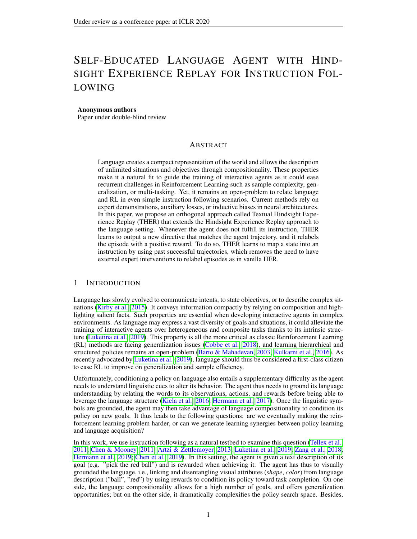tion following setup. Differently, the instructor generator can also be fused with the agent model to act as an auxiliary loss, reducing further the sparse reward issue.

HER variants HER has been extended to multiple settings since the original paper. These extensions deal with automatic curriculum learning (Liu et al., 2019), dynamic goals (Fang et al., 2019), or they adapt goal relabelling to policy gradient methods (Rauber et al., 2019). Closer to our work, Sahni et al. (2019) train a generative adversarial network to hallucinate visual near-goals state over failed trajectories. However, their method requires heavy engineering as visual goals are extremely complex to generate, and they lack the compact generalization opportunities inherent to language. Chan et al. (2018) also studies HER in the language setting, but the authors only consider the context where a language expert is available.

Conditioned Language Policy There have been other attempts to leverage language instruction to improve the agent policy. For instance, Jiang et al. (2019) computes a high-level language policy to give textual instruction to a low-level policy, enforcing a hierarchical learning training. The authors manage to resolve complicated manipulating task by decomposing the action with language operation. Yet, the language mapper performs instruction retrieval into a prede ned set of textual goals, which prevent from bene ting from language compositionality, as mentioned by the authors. Co-Reyes et al. (2018) train an agent to re ne its policy by collecting language corrections over multiple trajectories on the same task. While the authors focus their effort on integrating language cues, it could be promising to learn the correction function in a THER fashion.

## 6 CONCLUSION

We introduce Textual Hindsight Experience Replay (THER) as an extension to HER for language. We de ne a protocol to learn a mapping function to relabel unsuccessful trajectories with predicted consistent language instructions. We show that THER nearly matches HER performances despite only relying on signals from the environment. We provide empirical evidence that THER manages to alleviate the instruction following task by jointly learning language grounding and navigation policy with training synergies. THER has mild underlying assumptions, and it does not require human data, making it valuable to complement to other instruction following methods. More generally, THER can be extended to any goal modalities, and we expect similar procedures to emerge in other setting.

## **REFERENCES**

- Peter Anderson, Qi Wu, Damien Teney, Jake Bruce, Mark Johnson, Nikdeshauf, Ian Reid, Stephen Gould, and Anton van den Hengel. Vision-and-language navigation: Interpreting visually-grounded navigation instructions in real environment. Proc. of CVPR, 2018.
- Jacob Andreas, Marcus Rohrbach, Trevor Darrell, and Dan Klein. Neural module networks. In Proc. of CVPR 2016.
- Marcin Andrychowicz, Filip Wolski, Alex Ray, Jonas Schneider, Rachel Fong, Peter Welinder, Bob McGrew, Josh Tobin, OpenAI Pieter Abbeel, and Wojciech Zaremba. Hindsight experience replay. In Proc. of NIPS 2017.
- Yoav Artzi and Luke Zettlemoyer. Weakly supervised learning of semantic parsers for mapping instructions to actionsTransactions of the Association for Computational Linguistic 49–62, 2013.
- Dzmitry Bahdanau, Felix Hill, Jan Leike, Edward Hughes, Arian Hosseini, Pushmeet Kohli, and Edward Grefenstette. Learning to understand goal speci cations by modelling rewarddodn of ICLR, 2019a.
- Dzmitry Bahdanau, Shikhar Murty, Michael Noukhovitch, Thien Huu Nguyen, Harm de Vries, and Aaron Courville. Systematic generalization: What is required and can it be learned bodrof ICLR, 2019b.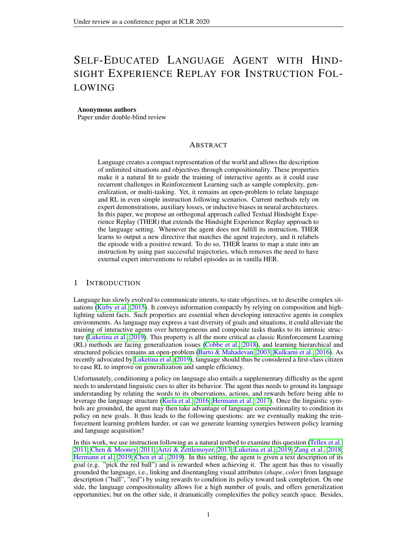- Satanjeev Banerjee and Alon Lavie. Meteor: An automatic metric for mt evaluation with improved correlation with human judgments. Proc. of ACL Workshop on Intrinsic and Extrinsic Evaluation Measures for Machine Translation and/or Summarizat20005.
- Andrew G Barto and Sridhar Mahadevan. Recent advances in hierarchical reinforcement learning. Discrete event dynamic system \$ (1-2): 41–77, 2003.
- Marc Bellemare, Sriram Srinivasan, Georg Ostrovski, Tom Schaul, David Saxton, and Remi Munos. Unifying count-based exploration and intrinsic motivation. Plinoc. of NeurIPS2016.
- Samy Bengio, Oriol Vinyals, Navdeep Jaitly, and Noam Shazeer. Scheduled sampling for sequence prediction with recurrent neural networks. Phnoc. of NIPS 2015.
- Simon Brodeur, Ethan Perez, Ankesh Anand, Florian Golemo, Luca Celotti, Florian Strub, Jean Rouat, Hugo Larochelle, and Aaron Courville. Home: a household multimodal environment. In Proc. of NIPS : Visually-Grounded Interaction and Language Works 2007.
- Harris Chan, Yuhuai Wu, Jamie Kiros, Sanja Fidler, and Jimmy Ba. Actrce: Augmenting experience via teacher's advice for multi-goal reinforcement learningt Workshop on Goal Speci cations for Reinforcement Learning, Workshop held jointly at ICML, IJCAI, AAM2088.
- David L Chen and Raymond J Mooney. Learning to interpret natural language navigation instructions from observations. IProc. of AAAI 2011.
- Howard Chen, Alane Suhr, Dipendra Misra, Noah Snavely, and Yoav Artzi. Touchdown: Natural language navigation and spatial reasoning in visual street environments and CVPR, 2019.
- Maxime Chevalier-Boisvert, Dzmitry Bahdanau, Salem Lahlou, Lucas Willems, Chitwan Saharia, Thien Huu Nguyen, and Yoshua Bengio. BabyAI: First steps towards grounded language learning with a human in the loop. InProc. of ICLR 2019. URL https://openreview.net/ forum?id=rJeXCo0cYX .
- Junyoung Chung, Caglar Gulcehre, Kyunghyun Cho, and Yoshua Bengio. Empirical evaluation of gated recurrent neural networks on sequence modeling. Pron. of NIPS Workshop on Deep Learning 2014.
- John D Co-Reyes, Abhishek Gupta, Suvansh Sanjeev, Nick Altieri, John DeNero, Pieter Abbeel, and Sergey Levine. Guiding policies with language via meta-learningron. of ICLR 2018.
- Karl Cobbe, Oleg Klimov, Chris Hesse, Taehoon Kim, and John Schulman. Quantifying generalization in reinforcement learningarXiv preprint arXiv:1812.0234, 12018.
- Meng Fang, Cheng Zhou, Bei Shi, Boqing Gong, Jia Xu, and Tong Zhang. Dher: Hindsight experience replay for dynamic goals. **Proc.** of ICLR 2019.
- Daniel Fried, Ronghang Hu, Volkan Cirik, Anna Rohrbach, Jacob Andreas, Louis-Philippe Morency, Taylor Berg-Kirkpatrick, Kate Saenko, Dan Klein, and Trevor Darrell. Speaker-follower models for vision-and-language navigation. Plroc. of NeurIPS2018.
- Justin Fu, Anoop Korattikara, Sergey Levine, and Sergio Guadarrama. From language to goals: Inverse reinforcement learning for vision-based instruction following. If the of. ICLR, 2019.
- Hado van Hasselt, Arthur Guez, and David Silver. Deep reinforcement learning with double qlearning. InProc. of AAAJ 2016.
- Karl Moritz Hermann, Felix Hill, Simon Green, Fumin Wang, Ryan Faulkner, Hubert Soyer, David Szepesvari, Wojciech Marian Czarnecki, Max Jaderberg, Denis Teplyashin, et al. Grounded language learning in a simulated 3d world. Xiv preprint arXiv:1706.0655,12017.
- Karl Moritz Hermann, Mateusz Malinowski, Piotr Mirowski, Andras Banki-Horvath, Keith Anderson, and Raia Hadsell. Learning to follow directions in street viearXiv preprint arXiv:1903.0040,12019.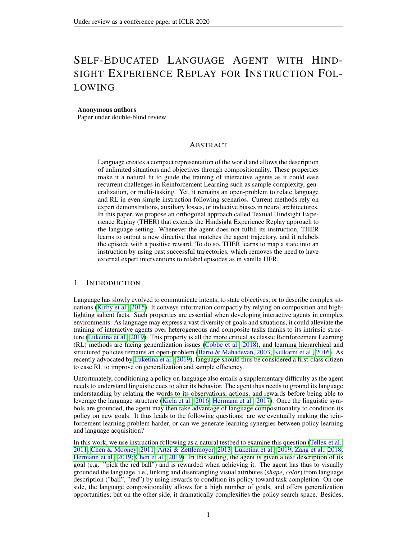- Todd Hester, Matej Vecerik, Olivier Pietquin, Marc Lanctot, Tom Schaul, Bilal Piot, Dan Horgan, John Quan, Andrew Sendonaris, Ian Osband, et al. Deep q-learning from demonstrations. In Proc. of AAAJ 2018.
- Drew Arad Hudson and Christopher D. Manning. Compositional attention networks for machine reasoning. IrProc. of ICLR 2018.
- Yiding Jiang, Shixiang Gu, Kevin Murphy, and Chelsea Finn. Language as an abstraction for hierarchical deep reinforcement learning. Xiv preprint arXiv:1906.0734, 2019.
- Douwe Kiela, Luana Bulat, Anita L Vero, and Stephen Clark. Virtual embodiment: A scalable long-term strategy for arti-cial intelligence research. Xiv preprint arXiv:1610.074322016.
- Diederik P Kingma and Jimmy Lei Ba. Adam: Amethod for stochastic optimization Promo. of ICLR, 2015.
- Simon Kirby, Monica Tamariz, Hannah Cornish, and Kenny Smith. Compression and communication in the cultural evolution of linguistic structure agnition 141:87–102, 2015.
- Tejas D Kulkarni, Karthik Narasimhan, Ardavan Saeedi, and Josh Tenenbaum. Hierarchical deep reinforcement learning: Integrating temporal abstraction and intrinsic motivation?rola of **NIPS 2016.**
- Yann LeCun, Yoshua Bengio, et al. Convolutional networks for images, speech, and time series. The handbook of brain theory and neural network \$95.
- Chin-Yew Lin. Rouge: A package for automatic evaluation of summaries at Summarization Branches Out2004.
- Hao Liu, Alexander Trott, Richard Socher, and Caiming Xiong. Competitive experience replay. In Proc. of ICLR 2019.
- Jelena Luketina, Nantas Nardelli, Gregory Farquhar, Jakob Foerster, Jacob Andreas, Edward Grefenstette, Shimon Whiteson, and Tim Roasthel. A survey of reinforcement learning informed by natural language. IProc. of IJCAI 2019.
- Volodymyr Mnih, Koray Kavukcuoglu, David Silver, Andrei A Rusu, Joel Veness, Marc G Bellemare, Alex Graves, Martin Riedmiller, Andreas K Fidjeland, Georg Ostrovski, et al. Human-level control through deep reinforcement learnimigature, 518(7540):529, 2015.
- Andrew Y Ng, Daishi Harada, and Stuart Russell. Policy invariance under reward transformations: Theory and application to reward shaping Proc. of ICML, 1999.
- Kishore Papineni, Salim Roukos, Todd Ward, and Wei-Jing Zhu. Bleu: a method for automatic evaluation of machine translation. Prroc. of ACL, 2002.
- Ethan Perez, Florian Strub, Harm De Vries, Vincent Dumoulin, and Aaron Courville. Film: Visual reasoning with a general conditioning layer. Proc. of AAAI 2018.
- Paulo Rauber, Avinash Ummadisingu, Filipe Mutz, and Jrgen Schmidhuber. Hindsight policy gradients. InProc. of ICLR, 2019.
- Himanshu Sahni, Toby Buckley, Pieter Abbeel, and Ilya Kuzovkin. Visual hindsight experience replay. arXiv preprint arXiv: 1901. 1152, 92019.
- Tom Schaul, Daniel Horgan, Karol Gregor, and David Silver. Universal value function approximators. InProc. of ICML, 2015.
- Ilya Sutskever, Oriol Vinyals, and Quoc V Le. Sequence to sequence learning with neural networks. In Proc. of NIPS 2014.

Richard S Sutton and Andrew G Bart Geinforcement learning: An introductio MIT Press, 2018.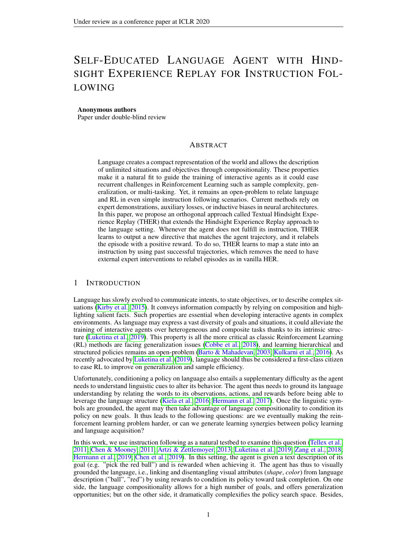- Stefanie Tellex, Thomas Kollar, Steven Dickerson, Matthew R Walter, Ashis Gopal Banerjee, Seth Teller, and Nicholas Roy. Understanding natural language commands for robotic navigation and mobile manipulation. InProc. of AAAJ 2011.
- Xin Wang, Qiuyuan Huang, Asli Celikyilmaz, Jianfeng Gao, Dinghan Shen, Yuan-Fang Wang, William Yang Wang, and Lei Zhang. Reinforced cross-modal matching and self-supervised imitation learning for vision-language navigation. Proc. of CVPR, 2019.
- Ziyu Wang, Tom Schaul, Matteo Hessel, Hado Hasselt, Marc Lanctot, and Nando Freitas. Dueling network architectures for deep reinforcement learning. Into of ICML, 2016.
- Xiaoxue Zang, Ashwini Pokle, Marynel & Zuez, Kevin Chen, Juan Carlos Niebles, Alvaro Soto, and Silvio Savarese. Translating navigation instructions in natural language to a high-level plan for behavioral robot navigation. In roc. of EMNLP, 2018.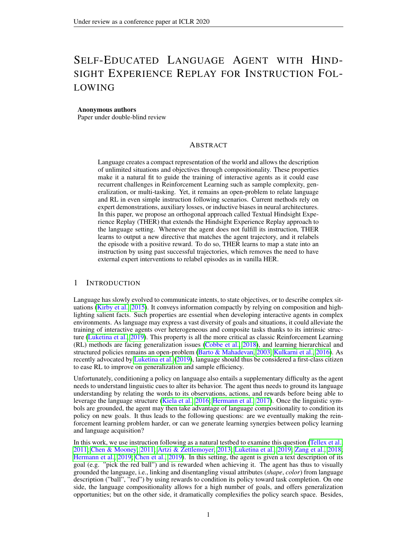# A APPENDIX A: TRAINING DETAILS

## A.1 INSTRUCTIONGENERATOR ARCHITECTURE

The encoder is a convolution neural network (LeCun et al., 1995) with ReLU activation functions after each layer for processing an observation of dimension 7x7x3. It is composed of: 16 of 2x2 kernel, followed a max pooling 2D of size 2x2 then 32 of 2x2 kernel, and nally 256 of 2x2 kernel. For the convolutional layers and the pooling layer, the stride is always equal to 1.

The decoder is a recurrent neural network composed of gated recurrent units (GRU) (Chung et al., 2014) that outputs the instruction word by word. The convolutional layers extract relevant information from the image and compress it in a latent representation. This latent representation is then used as the initial hidden state of a GRU layer. The initial input of the GRU layer is the tBEGBIN. At each time step, the GRU layer outputs a distribution over words as in Seq2Seq (Sutskever et al., 2014), we can use as the input of the next step the word the is the most likely. When the token ENDis chosen the prediction stops. We use a word embedding of dimension 128 and an instruction embedding of dimension 256. The number of words in the dictionary is equal to 27.

The training is done with cross-entropy between the distribution of probabilities over words predicted by the model and the true word. Teacher forcing is employed to accelerate and to stabilize the learning. Teacher forcing refers to using the ground truth for the next input of the GRU instead of using the last predicted word (Bengio et al., 2015).

The learning rate is  $x$ ed to  $0^{-4}$  and the network is trained using the Adam optimizer with default parameters (Kingma & Ba, 2015) and a regularization  $\delta$ <sup>6</sup> over all parameters. The batchsize is equal to 128.

## A.2 DQN ARCHITECTURE

To deal with the partial observability of the environment (described in subsection 4.1) the state corresponds to the last 4 frames stacked as in (Mnih et al., 2015).

Visual Encoder: Each frame is encoded by a convolutional neural network and then passed through a LSTM. Each layer is followed by a ReLU activation function. The convolutional neural network is composed of: 16 of 2x2 kernel, followed a max pooling 2D of size 2x2 then 32 of 2x2 kernel, and -nally 64 of 2x2 kernel. For the convolutional layers and the pooling layer, the stride is always equal to 1. The LSTM has an input and hidden size of 64. The last LSTM hidden state responds to visual embedding.

Instruction Encoding: First each word is embedded with an embedding of size 32. Instructions are encoded word by word using a GRU. The GRU has an input size of 32 which corresponds to the word embedding size and a hidden size of 128 which corresponds to the instruction embedding size. The last GRU hidden state is kept as the instruction embedding.

We concatenate the visual embedding and the instruction embedding and add fully connected layers in the same fashion as in the dueling architecture (Wang et al., 2016) on top to compute the Q-values for each action.

Training parameters The exploration policy is-greedy with decaying linearly from 1 to 0.05 either in 500 000 steps for DQN and DQN+THER or in 100 000 steps for DQN+HER. The RMSprop optimizer is used to train the neural network with a learning rate  $\ x$ et0to<sup>5</sup> and default parameters (the forgetting factor is 0.99). Huber loss (with= 1) and gradient clipping (between -1 and 1) are used for stable gradients. The target network is synchronized with the current model every 1000 gradient steps. The replay buffer size is 50 000.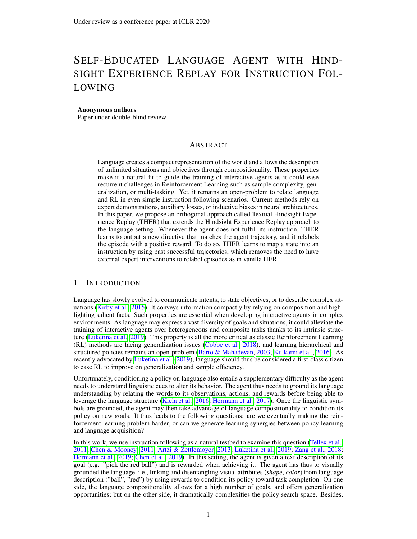## B THER ALGORITHM DETAILED

#### Algorithm 1: Textual Hindsight Experience Replay (THER)

Given:

- an off-policy RL algorithm (e.g. DQN)  $\mathbb A$
- a reward function  $r : \mathcal{S} \times \mathcal{A} \times \mathcal{G} \rightarrow \mathbb{R}$ .
- a language score (e.g. parser accuracy, BLEU etc.)

1 Initialize A, replay buffer R, dataset  $D_{train}$  and  $D_{val}$  of  $\langle instruction, state \rangle$ , Instruction Generator  $m_w$ ; <sup>2</sup> for *episode=1,M* do

```
3 Sample a goal g and an initial state s_0;
4 t = 0;5 repeat
6 Execute an action a_t chosen from the behavioral policy A: a_t \leftarrow \pi(s_t||g);
7 | Observe a reward r_t = r(s_t, a_t, g) and a new state s_{t+1};
8 | Store the transition (s_t, a_t, r_t, s_{t+1}, g) in R;
9 Update Q-network parameters using the policy A and sampled minibatches from R;
10 t = t + 1;11 until episode ends;
12 if f(s_t, g) = 1 then
13 Store the pair \langle s_t, g \rangle in D_{train} or D_{val};
14 | Update m-network parameters by sampling minibatches from D_{\text{t}} rain;
15 end
16 else
17 if m language validation score is high enough and D_{val} is big enough then
18 | | Sample \hat{g}' = m_{\mathbf{w}}(s_t);19 Replace g by \hat{g}' in the transitions of the last episode and set \hat{r} = r(s_t, a_t, \hat{g}').
20 end
21 end
22 end
```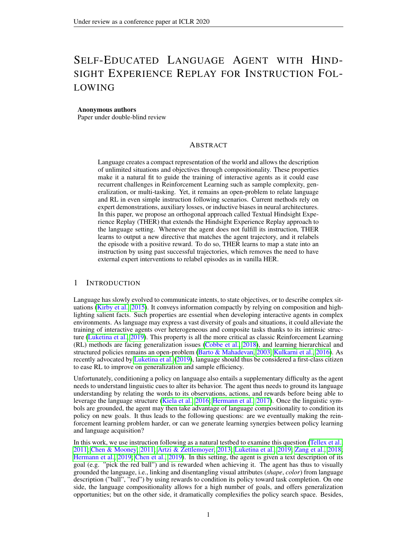## C APPENDIX B: ENVIRONMENT DETAILS

A screenshot of the environment is provided in [Figure 6.](#page-14-0)

The state of the environment does not correspond to a RBG image but to channels encoding different info about each cell (color, type etc...). More details are available at [gym-minigrid.](https://github.com/maximecb/gym-minigrid/)

The synthetic language used for instructions is composed in three parts. First, a clause like *get a* (all the clauses are displayed below). Then, a series of attributes randomly ordered describing the object and lastly, the type of the object. An example of instruction is *Go fetch a tiny dark red ball*. One object can be described by a maximum of 4 attributes: shade, size, color, and type. They have modalities going from 2 to 6.



<span id="page-14-0"></span>Figure 6: A screenshot of the environment. The agent only sees the light gray area. It should be noted that in is this example, object only have 2 attributes (color and type) but in our experiments, 4 attributes are being used.

The environment used is a grid-world of variable size containing objects. Objects can be described using up to 4 attributes. The list of all attributes is the following:

Shapes *key*, *ball* Colors *red*, *green*, *blue*, *purple*, *yellow*, *grey* Shades *very dark*, *dark*, *neutral*, *light*, *very light* Sizes *tiny*, *small*, *medium*, *large*, *giant*

The five possible clauses are:

*get a go fetch a go get a fetch a you must fetch a*

Multiple possible clauses bring diversity to the language as their meaning is equivalent.

## D COMPLEMENTARY EXPERIMENT

N-gram measure An n-gram is a sequence of words, e.g. 2-gram corresponds to a two-word sequence. For example the sentence *Get a red ball.* is composed of three 2-gram: *Get a*, *a red*, *red ball* and two 3-gram: *get a red* and *a red ball*. The n-gram measure assesses the language model accuracy by counting how many n-grams in the original sentence is present in the generated one. This measure is close to BLEU score used in machine translation (Papineni et al., 2002).